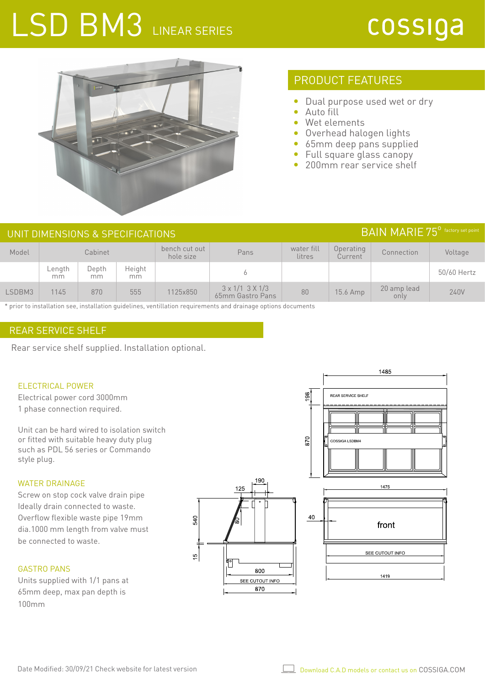# LSD BM3 LINEAR SERIES

# cossiga



### PRODUCT FEATURES

- $\bullet$ Dual purpose used wet or dry
- Auto fill  $\bullet$
- Wet elements
- Overhead halogen lights
- 65mm deep pans supplied
- Full square glass canopy
- 200mm rear service shelf

### UNIT DIMENSIONS & SPECIFICATIONS **Example 2008** SOLUTIONS **BAIN MARIE 75<sup>°</sup>** factory set point

| Model  | Cabinet      |             |               | bench cut out<br>hole size | Pans                                              | water fill<br>litres | Operating<br>Current | Connection          | Voltage     |
|--------|--------------|-------------|---------------|----------------------------|---------------------------------------------------|----------------------|----------------------|---------------------|-------------|
|        | Length<br>mm | Depth<br>mm | Height<br>mm. |                            |                                                   |                      |                      |                     | 50/60 Hertz |
| LSDBM3 | 1145         | 870         | 555           | 1125x850                   | $3 \times 1/1$ $3 \times 1/3$<br>65mm Gastro Pans | 80                   | 15.6 Amp             | 20 amp lead<br>only | 240V        |

\* prior to installation see, installation guidelines, ventillation requirements and drainage options documents

### REAR SERVICE SHELF

Rear service shelf supplied. Installation optional.

#### ELECTRICAL POWER

Electrical power cord 3000mm 1 phase connection required.

Unit can be hard wired to isolation switch or fitted with suitable heavy duty plug such as PDL 56 series or Commando style plug.

#### WATER DRAINAGE

Screw on stop cock valve drain pipe Ideally drain connected to waste. Overflow flexible waste pipe 19mm dia.1000 mm length from valve must be connected to waste.

#### GASTRO PANS

Units supplied with 1/1 pans at 65mm deep, max pan depth is 100mm



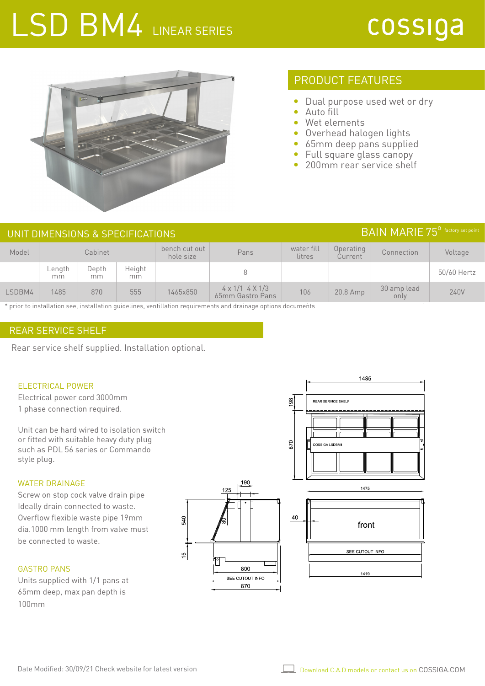# LSD BM4 LINEAR SERIES

# cossiga



## PRODUCT FEATURES

- $\bullet$ Dual purpose used wet or dry
- Auto fill  $\bullet$
- Wet elements ò
- Overhead halogen lights
- 65mm deep pans supplied
- Full square glass canopy
- 200mm rear service shelf

### UNIT DIMENSIONS & SPECIFICATIONS **Example 2008** SOLUTIONS **BAIN MARIE 75<sup>°</sup>** factory set point

| Model  | Cabinet      |              |               | bench cut out<br>hole size | Pans                                       | water fill<br>litres | Operating<br>Current | Connection          | Voltage     |
|--------|--------------|--------------|---------------|----------------------------|--------------------------------------------|----------------------|----------------------|---------------------|-------------|
|        | Length<br>mm | Depth<br>mm. | Height<br>mm. |                            |                                            |                      |                      |                     | 50/60 Hertz |
| LSDBM4 | 1485         | 870          | 555           | 1465x850                   | $4 \times 1/1$ 4 X 1/3<br>65mm Gastro Pans | 106                  | 20.8 Amp             | 30 amp lead<br>only | 240V        |

\* prior to installation see, installation guidelines, ventillation requirements and drainage options documents

### REAR SERVICE SHELF

Rear service shelf supplied. Installation optional.

#### ELECTRICAL POWER

Electrical power cord 3000mm 1 phase connection required.

Unit can be hard wired to isolation switch or fitted with suitable heavy duty plug such as PDL 56 series or Commando style plug.

#### WATER DRAINAGE

Screw on stop cock valve drain pipe Ideally drain connected to waste. Overflow flexible waste pipe 19mm dia.1000 mm length from valve must be connected to waste.

#### GASTRO PANS

Units supplied with 1/1 pans at 65mm deep, max pan depth is 100mm